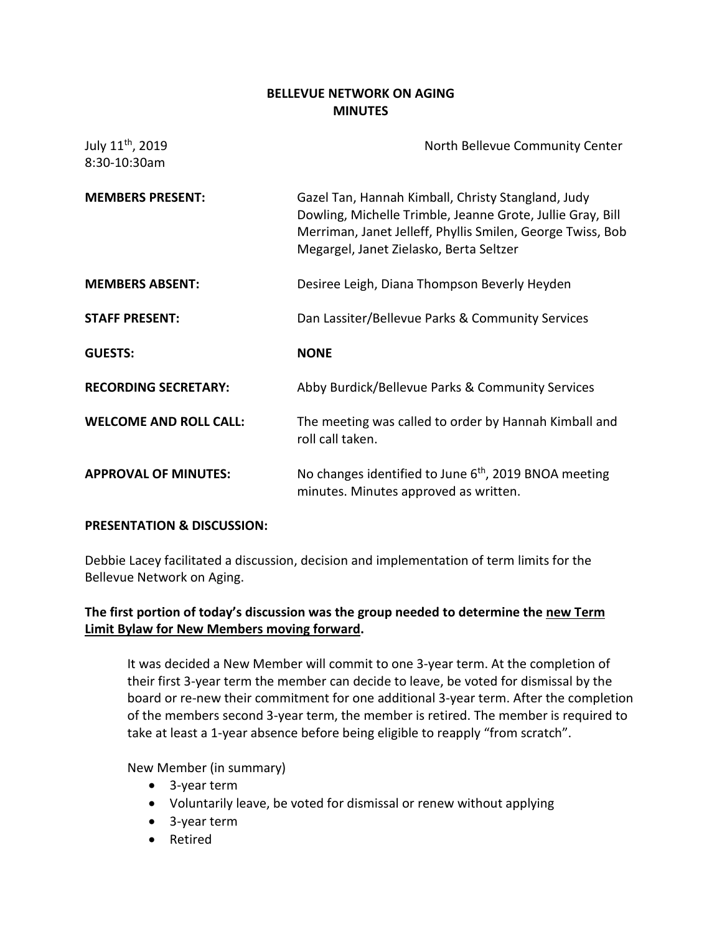## **BELLEVUE NETWORK ON AGING MINUTES**

| July 11 <sup>th</sup> , 2019<br>8:30-10:30am | North Bellevue Community Center                                                                                                                                                                                           |
|----------------------------------------------|---------------------------------------------------------------------------------------------------------------------------------------------------------------------------------------------------------------------------|
| <b>MEMBERS PRESENT:</b>                      | Gazel Tan, Hannah Kimball, Christy Stangland, Judy<br>Dowling, Michelle Trimble, Jeanne Grote, Jullie Gray, Bill<br>Merriman, Janet Jelleff, Phyllis Smilen, George Twiss, Bob<br>Megargel, Janet Zielasko, Berta Seltzer |
| <b>MEMBERS ABSENT:</b>                       | Desiree Leigh, Diana Thompson Beverly Heyden                                                                                                                                                                              |
| <b>STAFF PRESENT:</b>                        | Dan Lassiter/Bellevue Parks & Community Services                                                                                                                                                                          |
| <b>GUESTS:</b>                               | <b>NONE</b>                                                                                                                                                                                                               |
| <b>RECORDING SECRETARY:</b>                  | Abby Burdick/Bellevue Parks & Community Services                                                                                                                                                                          |
| <b>WELCOME AND ROLL CALL:</b>                | The meeting was called to order by Hannah Kimball and<br>roll call taken.                                                                                                                                                 |
| <b>APPROVAL OF MINUTES:</b>                  | No changes identified to June $6th$ , 2019 BNOA meeting<br>minutes. Minutes approved as written.                                                                                                                          |

## **PRESENTATION & DISCUSSION:**

Debbie Lacey facilitated a discussion, decision and implementation of term limits for the Bellevue Network on Aging.

# **The first portion of today's discussion was the group needed to determine the new Term Limit Bylaw for New Members moving forward.**

It was decided a New Member will commit to one 3-year term. At the completion of their first 3-year term the member can decide to leave, be voted for dismissal by the board or re-new their commitment for one additional 3-year term. After the completion of the members second 3-year term, the member is retired. The member is required to take at least a 1-year absence before being eligible to reapply "from scratch".

# New Member (in summary)

- 3-year term
- Voluntarily leave, be voted for dismissal or renew without applying
- 3-year term
- Retired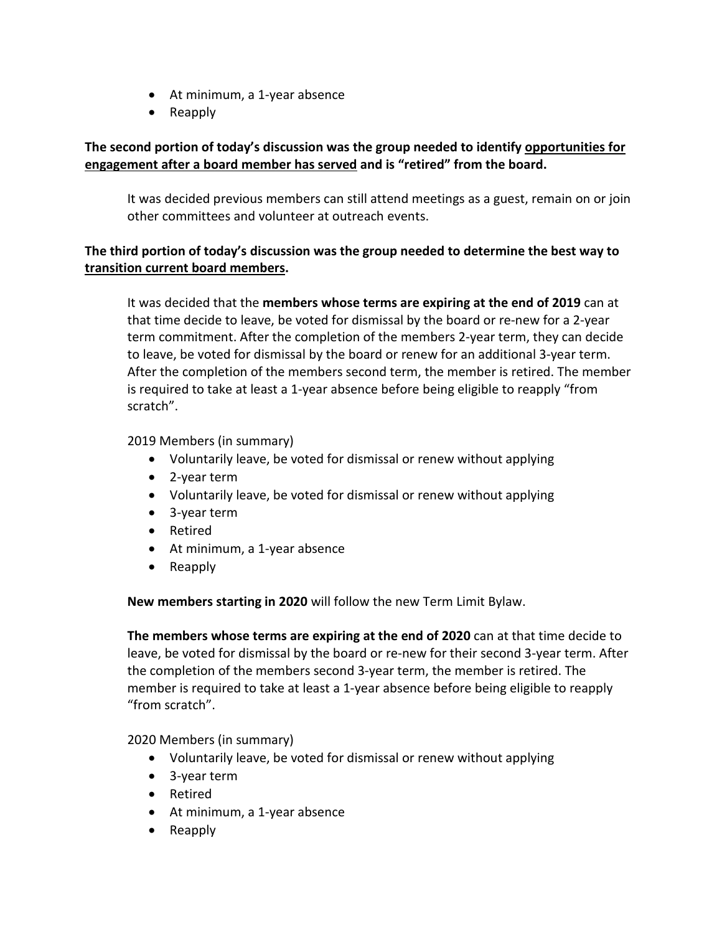- At minimum, a 1-year absence
- Reapply

# **The second portion of today's discussion was the group needed to identify opportunities for engagement after a board member has served and is "retired" from the board.**

It was decided previous members can still attend meetings as a guest, remain on or join other committees and volunteer at outreach events.

# **The third portion of today's discussion was the group needed to determine the best way to transition current board members.**

It was decided that the **members whose terms are expiring at the end of 2019** can at that time decide to leave, be voted for dismissal by the board or re-new for a 2-year term commitment. After the completion of the members 2-year term, they can decide to leave, be voted for dismissal by the board or renew for an additional 3-year term. After the completion of the members second term, the member is retired. The member is required to take at least a 1-year absence before being eligible to reapply "from scratch".

## 2019 Members (in summary)

- Voluntarily leave, be voted for dismissal or renew without applying
- 2-year term
- Voluntarily leave, be voted for dismissal or renew without applying
- 3-year term
- Retired
- At minimum, a 1-year absence
- Reapply

**New members starting in 2020** will follow the new Term Limit Bylaw.

**The members whose terms are expiring at the end of 2020** can at that time decide to leave, be voted for dismissal by the board or re-new for their second 3-year term. After the completion of the members second 3-year term, the member is retired. The member is required to take at least a 1-year absence before being eligible to reapply "from scratch".

2020 Members (in summary)

- Voluntarily leave, be voted for dismissal or renew without applying
- 3-year term
- Retired
- At minimum, a 1-year absence
- Reapply